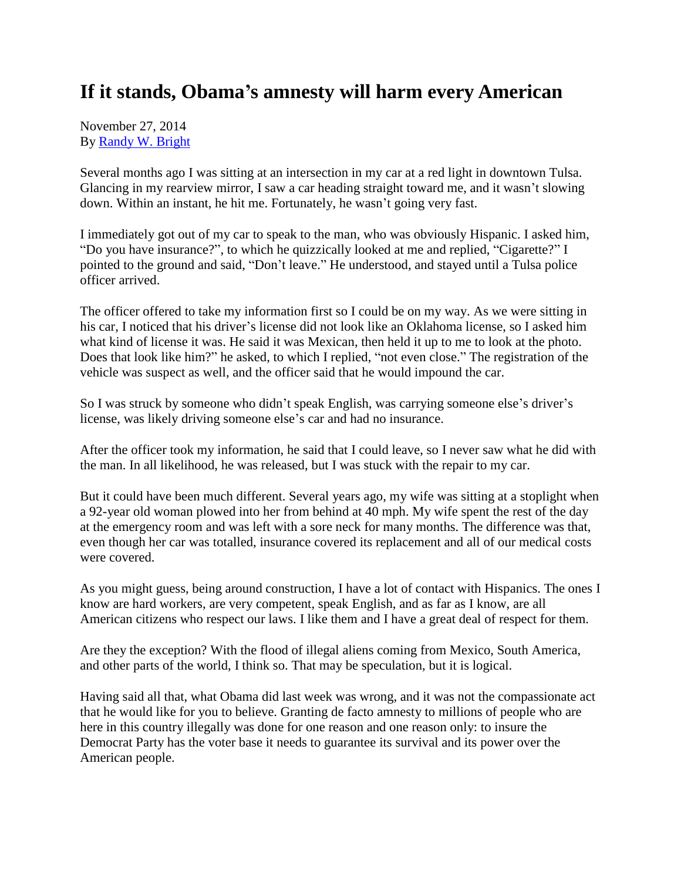## **If it stands, Obama's amnesty will harm every American**

November 27, 2014 By [Randy W. Bright](http://www.tulsabeacon.com/author/slug-o6yd1v)

Several months ago I was sitting at an intersection in my car at a red light in downtown Tulsa. Glancing in my rearview mirror, I saw a car heading straight toward me, and it wasn't slowing down. Within an instant, he hit me. Fortunately, he wasn't going very fast.

I immediately got out of my car to speak to the man, who was obviously Hispanic. I asked him, "Do you have insurance?", to which he quizzically looked at me and replied, "Cigarette?" I pointed to the ground and said, "Don't leave." He understood, and stayed until a Tulsa police officer arrived.

The officer offered to take my information first so I could be on my way. As we were sitting in his car, I noticed that his driver's license did not look like an Oklahoma license, so I asked him what kind of license it was. He said it was Mexican, then held it up to me to look at the photo. Does that look like him?" he asked, to which I replied, "not even close." The registration of the vehicle was suspect as well, and the officer said that he would impound the car.

So I was struck by someone who didn't speak English, was carrying someone else's driver's license, was likely driving someone else's car and had no insurance.

After the officer took my information, he said that I could leave, so I never saw what he did with the man. In all likelihood, he was released, but I was stuck with the repair to my car.

But it could have been much different. Several years ago, my wife was sitting at a stoplight when a 92-year old woman plowed into her from behind at 40 mph. My wife spent the rest of the day at the emergency room and was left with a sore neck for many months. The difference was that, even though her car was totalled, insurance covered its replacement and all of our medical costs were covered.

As you might guess, being around construction, I have a lot of contact with Hispanics. The ones I know are hard workers, are very competent, speak English, and as far as I know, are all American citizens who respect our laws. I like them and I have a great deal of respect for them.

Are they the exception? With the flood of illegal aliens coming from Mexico, South America, and other parts of the world, I think so. That may be speculation, but it is logical.

Having said all that, what Obama did last week was wrong, and it was not the compassionate act that he would like for you to believe. Granting de facto amnesty to millions of people who are here in this country illegally was done for one reason and one reason only: to insure the Democrat Party has the voter base it needs to guarantee its survival and its power over the American people.